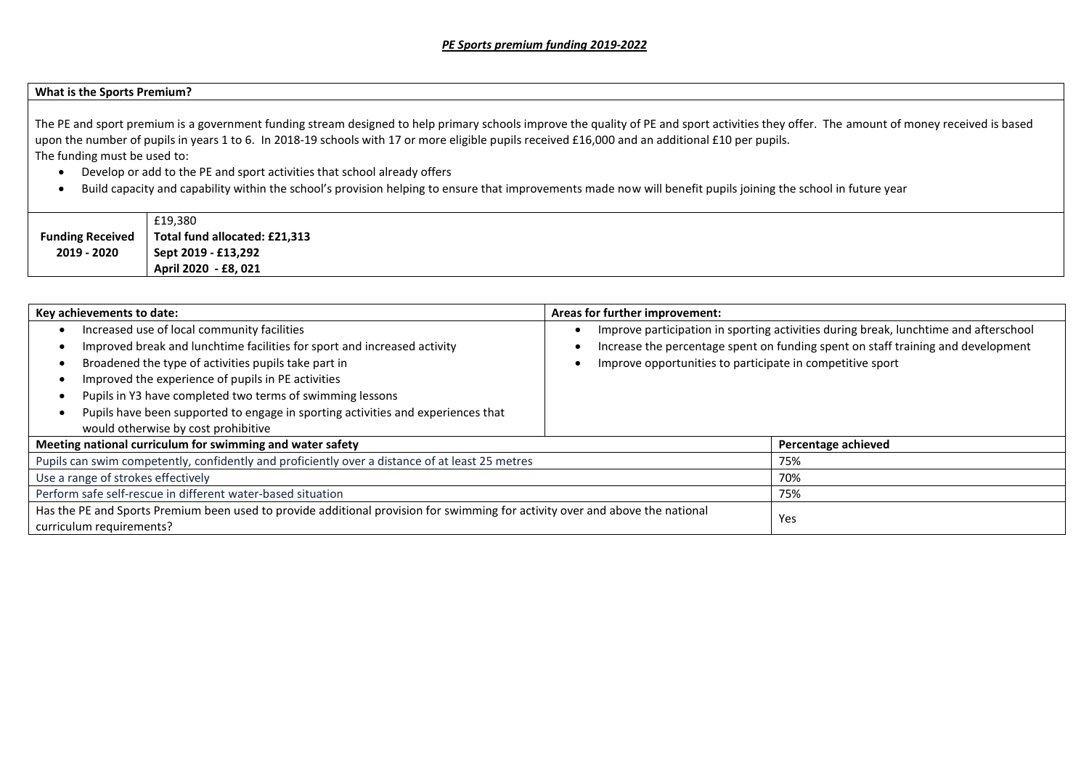## **What is the Sports Premium?**

The PE and sport premium is a government funding stream designed to help primary schools improve the quality of PE and sport activities they offer. The amount of money received is based upon the number of pupils in years 1 to 6. In 2018-19 schools with 17 or more eligible pupils received £16,000 and an additional £10 per pupils. The funding must be used to:

- Develop or add to the PE and sport activities that school already offers
- Build capacity and capability within the school's provision helping to ensure that improvements made now will benefit pupils joining the school in future year

|                         | £19,380                       |
|-------------------------|-------------------------------|
| <b>Funding Received</b> | Total fund allocated: £21,313 |
| 2019 - 2020             | Sept 2019 - £13,292           |
|                         | April 2020 - £8, 021          |

| Key achievements to date:                                                                                                                                                                                                                                                                                                                                                                                                     | Areas for further improvement:                                                                                                                                                                                                        |
|-------------------------------------------------------------------------------------------------------------------------------------------------------------------------------------------------------------------------------------------------------------------------------------------------------------------------------------------------------------------------------------------------------------------------------|---------------------------------------------------------------------------------------------------------------------------------------------------------------------------------------------------------------------------------------|
| Increased use of local community facilities<br>Improved break and lunchtime facilities for sport and increased activity<br>Broadened the type of activities pupils take part in<br>Improved the experience of pupils in PE activities<br>Pupils in Y3 have completed two terms of swimming lessons<br>Pupils have been supported to engage in sporting activities and experiences that<br>would otherwise by cost prohibitive | Improve participation in sporting activities during break, lunchtime and afterschool<br>Increase the percentage spent on funding spent on staff training and development<br>Improve opportunities to participate in competitive sport |
| Meeting national curriculum for swimming and water safety                                                                                                                                                                                                                                                                                                                                                                     | Percentage achieved                                                                                                                                                                                                                   |
| Pupils can swim competently, confidently and proficiently over a distance of at least 25 metres                                                                                                                                                                                                                                                                                                                               | 75%                                                                                                                                                                                                                                   |
| Use a range of strokes effectively                                                                                                                                                                                                                                                                                                                                                                                            | 70%                                                                                                                                                                                                                                   |
| Perform safe self-rescue in different water-based situation                                                                                                                                                                                                                                                                                                                                                                   | 75%                                                                                                                                                                                                                                   |
| Has the PE and Sports Premium been used to provide additional provision for swimming for activity over and above the national<br>curriculum requirements?                                                                                                                                                                                                                                                                     | Yes                                                                                                                                                                                                                                   |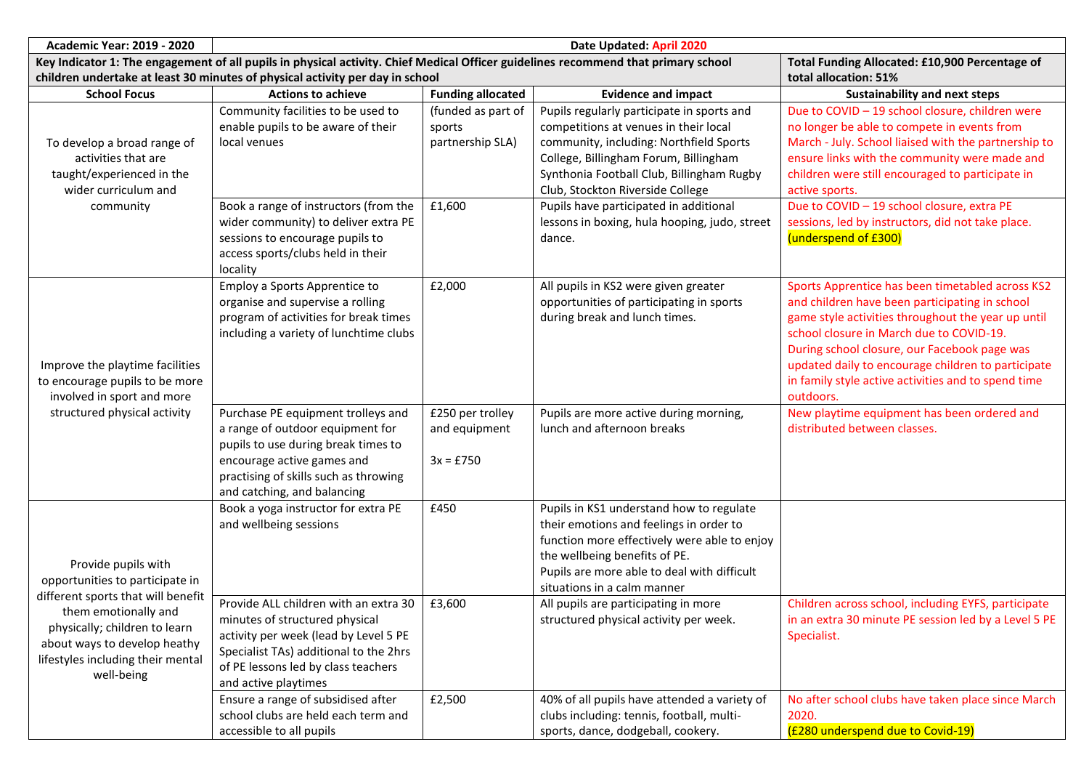| <b>Academic Year: 2019 - 2020</b><br>Date Updated: April 2020                                                                                         |                                                                                                                                                                                                                                                         |                                                  |                                                                                                                                                                                                                                                                                                                                      |                                                                                                                                                                                                                                                                                                                                                                                |
|-------------------------------------------------------------------------------------------------------------------------------------------------------|---------------------------------------------------------------------------------------------------------------------------------------------------------------------------------------------------------------------------------------------------------|--------------------------------------------------|--------------------------------------------------------------------------------------------------------------------------------------------------------------------------------------------------------------------------------------------------------------------------------------------------------------------------------------|--------------------------------------------------------------------------------------------------------------------------------------------------------------------------------------------------------------------------------------------------------------------------------------------------------------------------------------------------------------------------------|
|                                                                                                                                                       | Key Indicator 1: The engagement of all pupils in physical activity. Chief Medical Officer guidelines recommend that primary school                                                                                                                      | Total Funding Allocated: £10,900 Percentage of   |                                                                                                                                                                                                                                                                                                                                      |                                                                                                                                                                                                                                                                                                                                                                                |
|                                                                                                                                                       | children undertake at least 30 minutes of physical activity per day in school                                                                                                                                                                           |                                                  |                                                                                                                                                                                                                                                                                                                                      | total allocation: 51%                                                                                                                                                                                                                                                                                                                                                          |
| <b>School Focus</b>                                                                                                                                   | <b>Actions to achieve</b>                                                                                                                                                                                                                               | <b>Funding allocated</b>                         | <b>Evidence and impact</b>                                                                                                                                                                                                                                                                                                           | <b>Sustainability and next steps</b>                                                                                                                                                                                                                                                                                                                                           |
| To develop a broad range of<br>activities that are<br>taught/experienced in the<br>wider curriculum and                                               | Community facilities to be used to<br>enable pupils to be aware of their<br>local venues                                                                                                                                                                | (funded as part of<br>sports<br>partnership SLA) | Pupils regularly participate in sports and<br>competitions at venues in their local<br>community, including: Northfield Sports<br>College, Billingham Forum, Billingham<br>Synthonia Football Club, Billingham Rugby<br>Club, Stockton Riverside College                                                                             | Due to COVID - 19 school closure, children were<br>no longer be able to compete in events from<br>March - July. School liaised with the partnership to<br>ensure links with the community were made and<br>children were still encouraged to participate in<br>active sports.                                                                                                  |
| community                                                                                                                                             | Book a range of instructors (from the<br>wider community) to deliver extra PE<br>sessions to encourage pupils to<br>access sports/clubs held in their<br>locality                                                                                       | £1,600                                           | Pupils have participated in additional<br>lessons in boxing, hula hooping, judo, street<br>dance.                                                                                                                                                                                                                                    | Due to COVID - 19 school closure, extra PE<br>sessions, led by instructors, did not take place.<br>(underspend of £300)                                                                                                                                                                                                                                                        |
| Improve the playtime facilities<br>to encourage pupils to be more<br>involved in sport and more                                                       | Employ a Sports Apprentice to<br>organise and supervise a rolling<br>program of activities for break times<br>including a variety of lunchtime clubs                                                                                                    | £2,000                                           | All pupils in KS2 were given greater<br>opportunities of participating in sports<br>during break and lunch times.                                                                                                                                                                                                                    | Sports Apprentice has been timetabled across KS2<br>and children have been participating in school<br>game style activities throughout the year up until<br>school closure in March due to COVID-19.<br>During school closure, our Facebook page was<br>updated daily to encourage children to participate<br>in family style active activities and to spend time<br>outdoors. |
| structured physical activity                                                                                                                          | Purchase PE equipment trolleys and<br>a range of outdoor equipment for<br>pupils to use during break times to<br>encourage active games and<br>practising of skills such as throwing<br>and catching, and balancing                                     | £250 per trolley<br>and equipment<br>$3x = £750$ | Pupils are more active during morning,<br>lunch and afternoon breaks                                                                                                                                                                                                                                                                 | New playtime equipment has been ordered and<br>distributed between classes.                                                                                                                                                                                                                                                                                                    |
| Provide pupils with<br>opportunities to participate in<br>different sports that will benefit<br>them emotionally and<br>physically; children to learn | Book a yoga instructor for extra PE<br>and wellbeing sessions<br>Provide ALL children with an extra 30<br>minutes of structured physical                                                                                                                | £450<br>£3,600                                   | Pupils in KS1 understand how to regulate<br>their emotions and feelings in order to<br>function more effectively were able to enjoy<br>the wellbeing benefits of PE.<br>Pupils are more able to deal with difficult<br>situations in a calm manner<br>All pupils are participating in more<br>structured physical activity per week. | Children across school, including EYFS, participate<br>in an extra 30 minute PE session led by a Level 5 PE                                                                                                                                                                                                                                                                    |
| about ways to develop heathy<br>lifestyles including their mental<br>well-being                                                                       | activity per week (lead by Level 5 PE<br>Specialist TAs) additional to the 2hrs<br>of PE lessons led by class teachers<br>and active playtimes<br>Ensure a range of subsidised after<br>school clubs are held each term and<br>accessible to all pupils | £2,500                                           | 40% of all pupils have attended a variety of<br>clubs including: tennis, football, multi-<br>sports, dance, dodgeball, cookery.                                                                                                                                                                                                      | Specialist.<br>No after school clubs have taken place since March<br>2020.<br>(£280 underspend due to Covid-19)                                                                                                                                                                                                                                                                |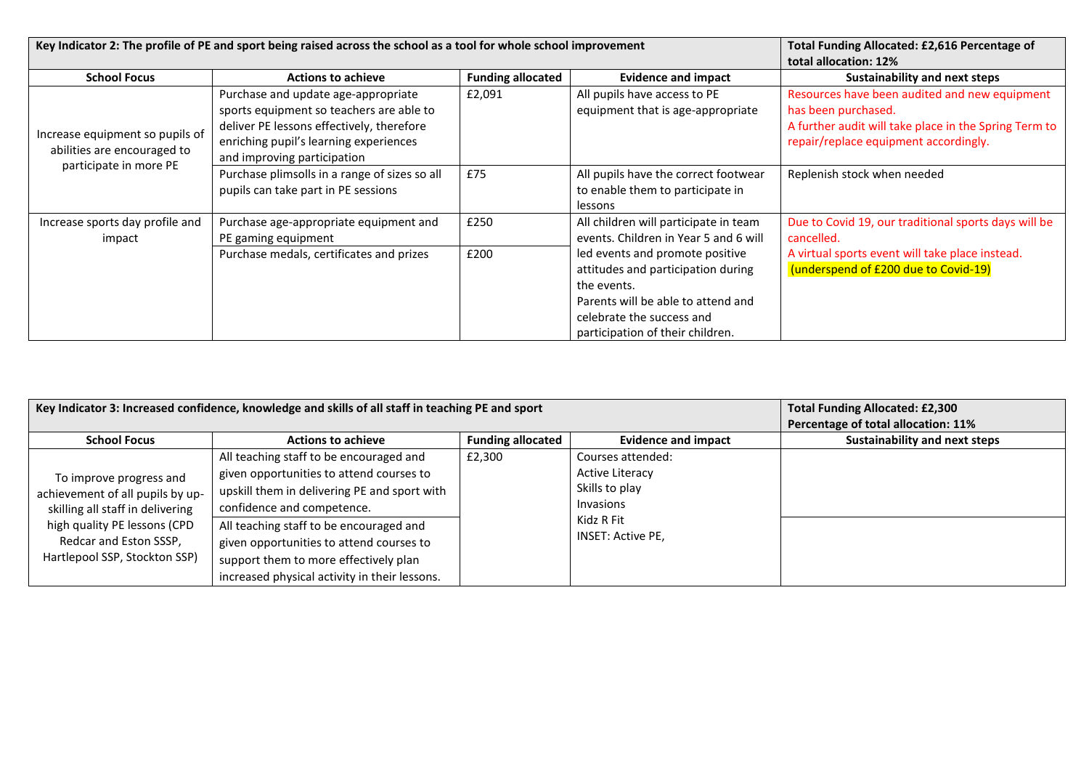| Key Indicator 2: The profile of PE and sport being raised across the school as a tool for whole school improvement |                                                                                                                                                                                                       |                          |                                                                                                                                                                                             | Total Funding Allocated: £2,616 Percentage of<br>total allocation: 12%                                                                                                 |
|--------------------------------------------------------------------------------------------------------------------|-------------------------------------------------------------------------------------------------------------------------------------------------------------------------------------------------------|--------------------------|---------------------------------------------------------------------------------------------------------------------------------------------------------------------------------------------|------------------------------------------------------------------------------------------------------------------------------------------------------------------------|
| <b>School Focus</b>                                                                                                | <b>Actions to achieve</b>                                                                                                                                                                             | <b>Funding allocated</b> | <b>Evidence and impact</b>                                                                                                                                                                  | <b>Sustainability and next steps</b>                                                                                                                                   |
| Increase equipment so pupils of<br>abilities are encouraged to                                                     | Purchase and update age-appropriate<br>sports equipment so teachers are able to<br>deliver PE lessons effectively, therefore<br>enriching pupil's learning experiences<br>and improving participation | £2,091                   | All pupils have access to PE<br>equipment that is age-appropriate                                                                                                                           | Resources have been audited and new equipment<br>has been purchased.<br>A further audit will take place in the Spring Term to<br>repair/replace equipment accordingly. |
| participate in more PE                                                                                             | Purchase plimsolls in a range of sizes so all<br>pupils can take part in PE sessions                                                                                                                  | £75                      | All pupils have the correct footwear<br>to enable them to participate in<br>lessons                                                                                                         | Replenish stock when needed                                                                                                                                            |
| Increase sports day profile and<br>impact                                                                          | Purchase age-appropriate equipment and<br>PE gaming equipment                                                                                                                                         | £250                     | All children will participate in team<br>events. Children in Year 5 and 6 will                                                                                                              | Due to Covid 19, our traditional sports days will be<br>cancelled.                                                                                                     |
|                                                                                                                    | Purchase medals, certificates and prizes                                                                                                                                                              | £200                     | led events and promote positive<br>attitudes and participation during<br>the events.<br>Parents will be able to attend and<br>celebrate the success and<br>participation of their children. | A virtual sports event will take place instead.<br>(underspend of £200 due to Covid-19)                                                                                |

| Key Indicator 3: Increased confidence, knowledge and skills of all staff in teaching PE and sport |                                                                                                                                                                               |                          |                                                                                                               | <b>Total Funding Allocated: £2,300</b><br>Percentage of total allocation: 11% |
|---------------------------------------------------------------------------------------------------|-------------------------------------------------------------------------------------------------------------------------------------------------------------------------------|--------------------------|---------------------------------------------------------------------------------------------------------------|-------------------------------------------------------------------------------|
| <b>School Focus</b>                                                                               | <b>Actions to achieve</b>                                                                                                                                                     | <b>Funding allocated</b> | <b>Evidence and impact</b>                                                                                    | <b>Sustainability and next steps</b>                                          |
| To improve progress and<br>achievement of all pupils by up-<br>skilling all staff in delivering   | All teaching staff to be encouraged and<br>given opportunities to attend courses to<br>upskill them in delivering PE and sport with<br>confidence and competence.             | £2,300                   | Courses attended:<br><b>Active Literacy</b><br>Skills to play<br>Invasions<br>Kidz R Fit<br>INSET: Active PE, |                                                                               |
| high quality PE lessons (CPD<br>Redcar and Eston SSSP,<br>Hartlepool SSP, Stockton SSP)           | All teaching staff to be encouraged and<br>given opportunities to attend courses to<br>support them to more effectively plan<br>increased physical activity in their lessons. |                          |                                                                                                               |                                                                               |